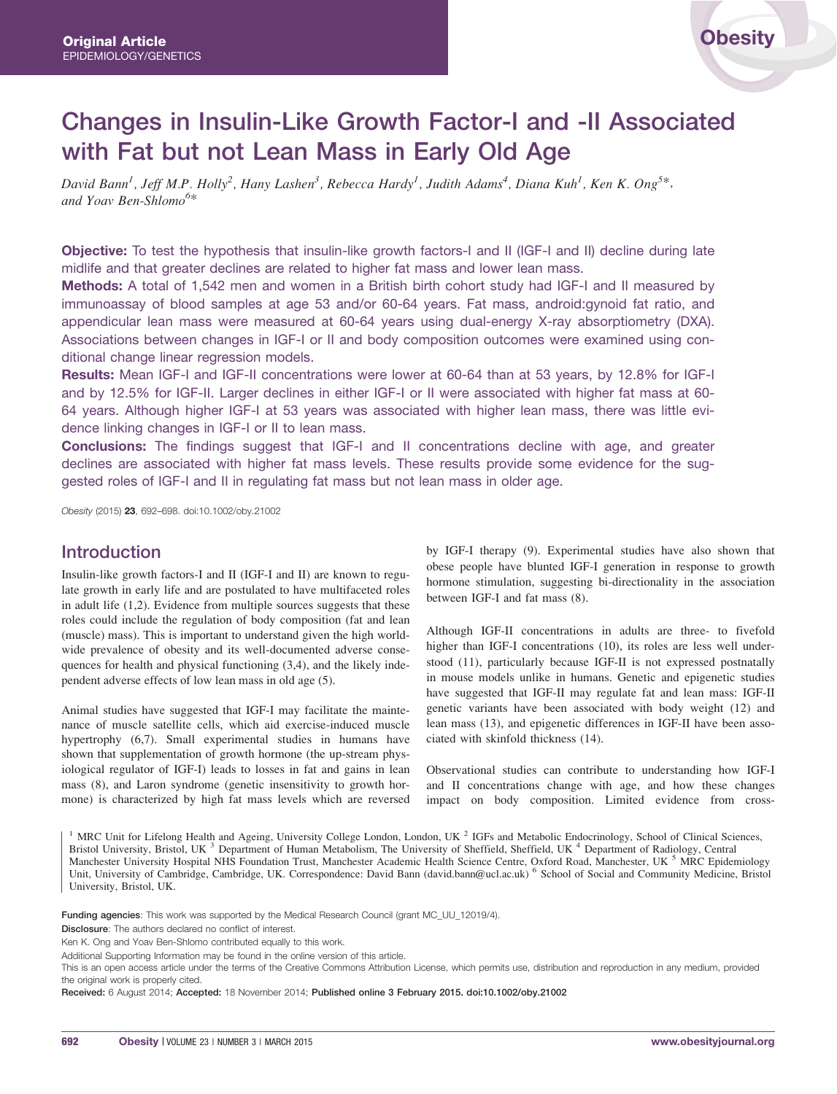# Changes in Insulin-Like Growth Factor-I and -II Associated with Fat but not Lean Mass in Early Old Age

David Bann<sup>1</sup>, Jeff M.P. Holly<sup>2</sup>, Hany Lashen<sup>3</sup>, Rebecca Hardy<sup>1</sup>, Judith Adams<sup>4</sup>, Diana Kuh<sup>1</sup>, Ken K. Ong<sup>5\*,</sup> and Yoav Ben-Shlomo<sup>6\*</sup>

Objective: To test the hypothesis that insulin-like growth factors-I and II (IGF-I and II) decline during late midlife and that greater declines are related to higher fat mass and lower lean mass.

**Methods:** A total of 1,542 men and women in a British birth cohort study had IGF-I and II measured by immunoassay of blood samples at age 53 and/or 60-64 years. Fat mass, android:gynoid fat ratio, and appendicular lean mass were measured at 60-64 years using dual-energy X-ray absorptiometry (DXA). Associations between changes in IGF-I or II and body composition outcomes were examined using conditional change linear regression models.

Results: Mean IGF-I and IGF-II concentrations were lower at 60-64 than at 53 years, by 12.8% for IGF-I and by 12.5% for IGF-II. Larger declines in either IGF-I or II were associated with higher fat mass at 60- 64 years. Although higher IGF-I at 53 years was associated with higher lean mass, there was little evidence linking changes in IGF-I or II to lean mass.

Conclusions: The findings suggest that IGF-I and II concentrations decline with age, and greater declines are associated with higher fat mass levels. These results provide some evidence for the suggested roles of IGF-I and II in regulating fat mass but not lean mass in older age.

Obesity (2015) 23, 692–698. doi:10.1002/oby.21002

### Introduction

Insulin-like growth factors-I and II (IGF-I and II) are known to regulate growth in early life and are postulated to have multifaceted roles in adult life (1,2). Evidence from multiple sources suggests that these roles could include the regulation of body composition (fat and lean (muscle) mass). This is important to understand given the high worldwide prevalence of obesity and its well-documented adverse consequences for health and physical functioning (3,4), and the likely independent adverse effects of low lean mass in old age (5).

Animal studies have suggested that IGF-I may facilitate the maintenance of muscle satellite cells, which aid exercise-induced muscle hypertrophy (6,7). Small experimental studies in humans have shown that supplementation of growth hormone (the up-stream physiological regulator of IGF-I) leads to losses in fat and gains in lean mass (8), and Laron syndrome (genetic insensitivity to growth hormone) is characterized by high fat mass levels which are reversed

by IGF-I therapy (9). Experimental studies have also shown that obese people have blunted IGF-I generation in response to growth hormone stimulation, suggesting bi-directionality in the association between IGF-I and fat mass (8).

Although IGF-II concentrations in adults are three- to fivefold higher than IGF-I concentrations (10), its roles are less well understood (11), particularly because IGF-II is not expressed postnatally in mouse models unlike in humans. Genetic and epigenetic studies have suggested that IGF-II may regulate fat and lean mass: IGF-II genetic variants have been associated with body weight (12) and lean mass (13), and epigenetic differences in IGF-II have been associated with skinfold thickness (14).

Observational studies can contribute to understanding how IGF-I and II concentrations change with age, and how these changes impact on body composition. Limited evidence from cross-

<sup>1</sup> MRC Unit for Lifelong Health and Ageing, University College London, London, UK<sup>2</sup> IGFs and Metabolic Endocrinology, School of Clinical Sciences, Bristol University, Bristol, UK <sup>3</sup> Department of Human Metabolism, The University of Sheffield, Sheffield, UK <sup>4</sup> Department of Radiology, Central Manchester University Hospital NHS Foundation Trust, Manchester Academic Health Science Centre, Oxford Road, Manchester, UK <sup>5</sup> MRC Epidemiology Unit, University of Cambridge, Cambridge, UK. Correspondence: David Bann (david.bann@ucl.ac.uk) <sup>6</sup> School of Social and Community Medicine, Bristol University, Bristol, UK.

Funding agencies: This work was supported by the Medical Research Council (grant MC\_UU\_12019/4).

Disclosure: The authors declared no conflict of interest.

Received: 6 August 2014; Accepted: 18 November 2014; Published online 3 February 2015. doi:10.1002/oby.21002

Ken K. Ong and Yoav Ben-Shlomo contributed equally to this work.

Additional Supporting Information may be found in the online version of this article.

This is an open access article under the terms of the [Creative Commons Attribution](http://creativecommons.org/licenses/by/3.0/) License, which permits use, distribution and reproduction in any medium, provided the original work is properly cited.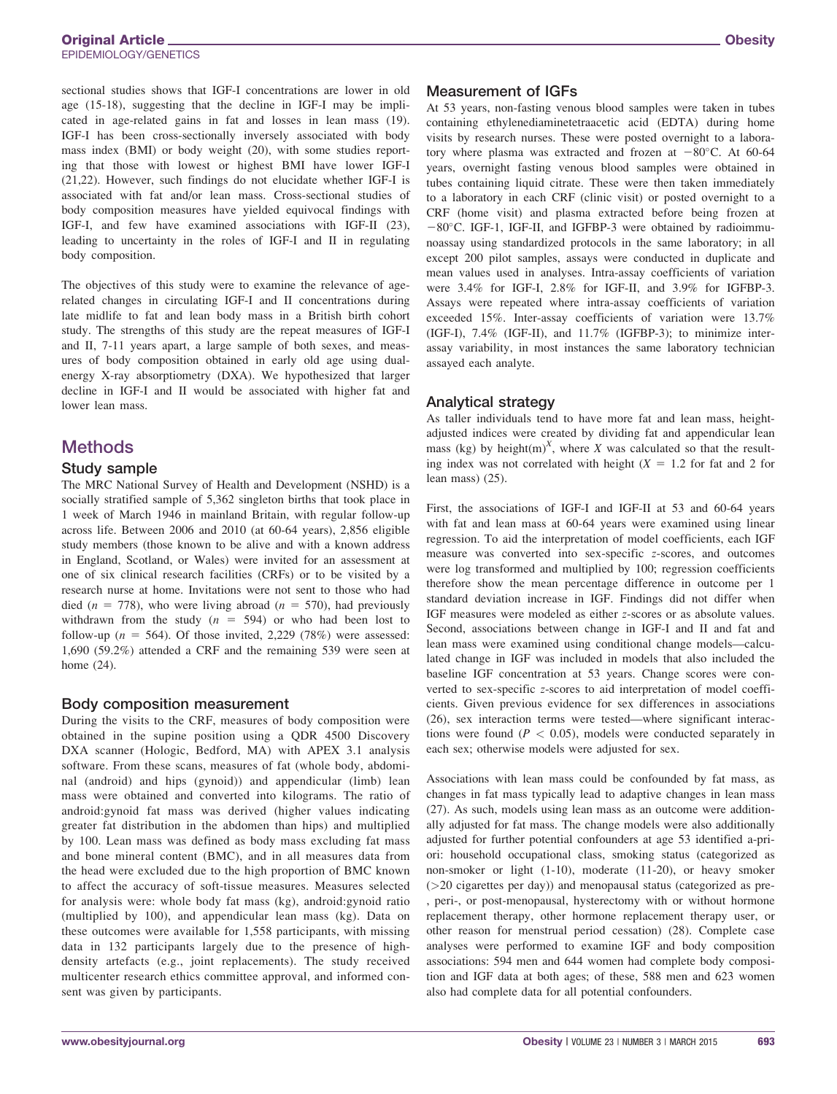sectional studies shows that IGF-I concentrations are lower in old age (15-18), suggesting that the decline in IGF-I may be implicated in age-related gains in fat and losses in lean mass (19). IGF-I has been cross-sectionally inversely associated with body mass index (BMI) or body weight (20), with some studies reporting that those with lowest or highest BMI have lower IGF-I (21,22). However, such findings do not elucidate whether IGF-I is associated with fat and/or lean mass. Cross-sectional studies of body composition measures have yielded equivocal findings with IGF-I, and few have examined associations with IGF-II (23), leading to uncertainty in the roles of IGF-I and II in regulating body composition.

The objectives of this study were to examine the relevance of agerelated changes in circulating IGF-I and II concentrations during late midlife to fat and lean body mass in a British birth cohort study. The strengths of this study are the repeat measures of IGF-I and II, 7-11 years apart, a large sample of both sexes, and measures of body composition obtained in early old age using dualenergy X-ray absorptiometry (DXA). We hypothesized that larger decline in IGF-I and II would be associated with higher fat and lower lean mass.

## **Methods**

### Study sample

The MRC National Survey of Health and Development (NSHD) is a socially stratified sample of 5,362 singleton births that took place in 1 week of March 1946 in mainland Britain, with regular follow-up across life. Between 2006 and 2010 (at 60-64 years), 2,856 eligible study members (those known to be alive and with a known address in England, Scotland, or Wales) were invited for an assessment at one of six clinical research facilities (CRFs) or to be visited by a research nurse at home. Invitations were not sent to those who had died ( $n = 778$ ), who were living abroad ( $n = 570$ ), had previously withdrawn from the study ( $n = 594$ ) or who had been lost to follow-up ( $n = 564$ ). Of those invited, 2,229 (78%) were assessed: 1,690 (59.2%) attended a CRF and the remaining 539 were seen at home (24).

#### Body composition measurement

During the visits to the CRF, measures of body composition were obtained in the supine position using a QDR 4500 Discovery DXA scanner (Hologic, Bedford, MA) with APEX 3.1 analysis software. From these scans, measures of fat (whole body, abdominal (android) and hips (gynoid)) and appendicular (limb) lean mass were obtained and converted into kilograms. The ratio of android:gynoid fat mass was derived (higher values indicating greater fat distribution in the abdomen than hips) and multiplied by 100. Lean mass was defined as body mass excluding fat mass and bone mineral content (BMC), and in all measures data from the head were excluded due to the high proportion of BMC known to affect the accuracy of soft-tissue measures. Measures selected for analysis were: whole body fat mass (kg), android:gynoid ratio (multiplied by 100), and appendicular lean mass (kg). Data on these outcomes were available for 1,558 participants, with missing data in 132 participants largely due to the presence of highdensity artefacts (e.g., joint replacements). The study received multicenter research ethics committee approval, and informed consent was given by participants.

### Measurement of IGFs

At 53 years, non-fasting venous blood samples were taken in tubes containing ethylenediaminetetraacetic acid (EDTA) during home visits by research nurses. These were posted overnight to a laboratory where plasma was extracted and frozen at  $-80^{\circ}$ C. At 60-64 years, overnight fasting venous blood samples were obtained in tubes containing liquid citrate. These were then taken immediately to a laboratory in each CRF (clinic visit) or posted overnight to a CRF (home visit) and plasma extracted before being frozen at -80°C. IGF-1, IGF-II, and IGFBP-3 were obtained by radioimmunoassay using standardized protocols in the same laboratory; in all except 200 pilot samples, assays were conducted in duplicate and mean values used in analyses. Intra-assay coefficients of variation were 3.4% for IGF-I, 2.8% for IGF-II, and 3.9% for IGFBP-3. Assays were repeated where intra-assay coefficients of variation exceeded 15%. Inter-assay coefficients of variation were 13.7% (IGF-I), 7.4% (IGF-II), and 11.7% (IGFBP-3); to minimize interassay variability, in most instances the same laboratory technician assayed each analyte.

### Analytical strategy

As taller individuals tend to have more fat and lean mass, heightadjusted indices were created by dividing fat and appendicular lean mass (kg) by height(m)<sup>X</sup>, where X was calculated so that the resulting index was not correlated with height  $(X = 1.2$  for fat and 2 for lean mass) (25).

First, the associations of IGF-I and IGF-II at 53 and 60-64 years with fat and lean mass at 60-64 years were examined using linear regression. To aid the interpretation of model coefficients, each IGF measure was converted into sex-specific z-scores, and outcomes were log transformed and multiplied by 100; regression coefficients therefore show the mean percentage difference in outcome per 1 standard deviation increase in IGF. Findings did not differ when IGF measures were modeled as either z-scores or as absolute values. Second, associations between change in IGF-I and II and fat and lean mass were examined using conditional change models—calculated change in IGF was included in models that also included the baseline IGF concentration at 53 years. Change scores were converted to sex-specific z-scores to aid interpretation of model coefficients. Given previous evidence for sex differences in associations (26), sex interaction terms were tested—where significant interactions were found ( $P < 0.05$ ), models were conducted separately in each sex; otherwise models were adjusted for sex.

Associations with lean mass could be confounded by fat mass, as changes in fat mass typically lead to adaptive changes in lean mass (27). As such, models using lean mass as an outcome were additionally adjusted for fat mass. The change models were also additionally adjusted for further potential confounders at age 53 identified a-priori: household occupational class, smoking status (categorized as non-smoker or light (1-10), moderate (11-20), or heavy smoker (>20 cigarettes per day)) and menopausal status (categorized as pre- , peri-, or post-menopausal, hysterectomy with or without hormone replacement therapy, other hormone replacement therapy user, or other reason for menstrual period cessation) (28). Complete case analyses were performed to examine IGF and body composition associations: 594 men and 644 women had complete body composition and IGF data at both ages; of these, 588 men and 623 women also had complete data for all potential confounders.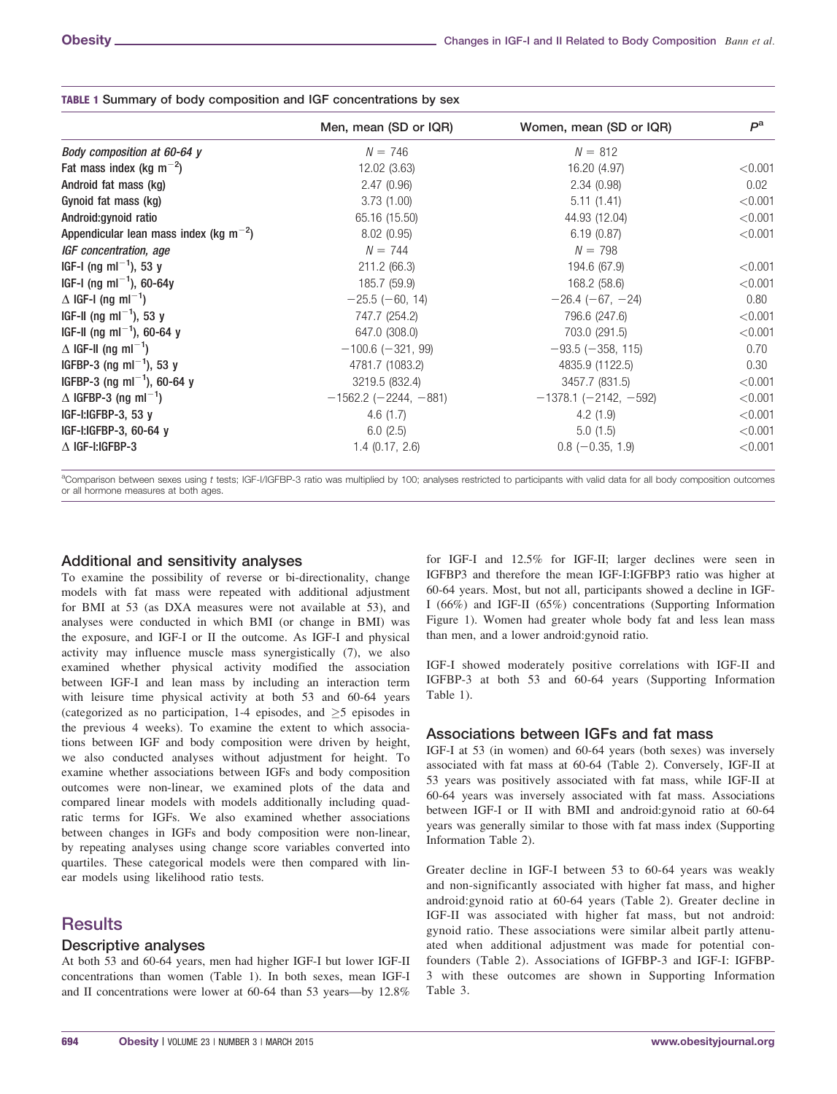|                                                    | Men, mean (SD or IQR)       | Women, mean (SD or IQR) | $P^a$   |
|----------------------------------------------------|-----------------------------|-------------------------|---------|
| Body composition at 60-64 y                        | $N = 746$                   | $N = 812$               |         |
| Fat mass index (kg m <sup><math>-2</math></sup> )  | 12.02 (3.63)                | 16.20 (4.97)            | < 0.001 |
| Android fat mass (kg)                              | 2.47(0.96)                  | 2.34(0.98)              | 0.02    |
| Gynoid fat mass (kg)                               | 3.73(1.00)                  | 5.11(1.41)              | < 0.001 |
| Android:gynoid ratio                               | 65.16 (15.50)               | 44.93 (12.04)           | < 0.001 |
| Appendicular lean mass index (kg m <sup>-2</sup> ) | 8.02(0.95)                  | 6.19(0.87)              | < 0.001 |
| IGF concentration, age                             | $N = 744$                   | $N = 798$               |         |
| IGF-I (ng ml <sup>-1</sup> ), 53 y                 | 211.2 (66.3)                | 194.6 (67.9)            | < 0.001 |
| IGF-I (ng ml <sup>-1</sup> ), 60-64y               | 185.7 (59.9)                | 168.2 (58.6)            | < 0.001 |
| $\Delta$ IGF-I (ng mI <sup>-1</sup> )              | $-25.5$ ( $-60, 14$ )       | $-26.4 (-67, -24)$      | 0.80    |
| IGF-II (ng m $I^{-1}$ ), 53 y                      | 747.7 (254.2)               | 796.6 (247.6)           | < 0.001 |
| IGF-II (ng ml <sup>-1</sup> ), 60-64 y             | 647.0 (308.0)               | 703.0 (291.5)           | < 0.001 |
| $\Delta$ IGF-II (ng mI <sup>-1</sup> )             | $-100.6$ ( $-321, 99$ )     | $-93.5$ ( $-358$ , 115) | 0.70    |
| IGFBP-3 (ng ml <sup>-1</sup> ), 53 y               | 4781.7 (1083.2)             | 4835.9 (1122.5)         | 0.30    |
| IGFBP-3 (ng ml <sup>-1</sup> ), 60-64 y            | 3219.5 (832.4)              | 3457.7 (831.5)          | < 0.001 |
| $\triangle$ IGFBP-3 (ng ml <sup>-1</sup> )         | $-1562.2$ ( $-2244, -881$ ) | $-1378.1$ (-2142, -592) | < 0.001 |
| IGF-I:IGFBP-3, 53 y                                | 4.6(1.7)                    | 4.2(1.9)                | < 0.001 |
| IGF-I:IGFBP-3, 60-64 y                             | 6.0(2.5)                    | 5.0(1.5)                | < 0.001 |
| $\triangle$ IGF-I:IGFBP-3                          | 1.4(0.17, 2.6)              | $0.8$ (-0.35, 1.9)      | < 0.001 |

#### TABLE 1 Summary of body composition and IGF concentrations by sex

<sup>a</sup>Comparison between sexes using t tests; IGF-I/IGFBP-3 ratio was multiplied by 100; analyses restricted to participants with valid data for all body composition outcomes or all hormone measures at both ages.

### Additional and sensitivity analyses

To examine the possibility of reverse or bi-directionality, change models with fat mass were repeated with additional adjustment for BMI at 53 (as DXA measures were not available at 53), and analyses were conducted in which BMI (or change in BMI) was the exposure, and IGF-I or II the outcome. As IGF-I and physical activity may influence muscle mass synergistically (7), we also examined whether physical activity modified the association between IGF-I and lean mass by including an interaction term with leisure time physical activity at both 53 and 60-64 years (categorized as no participation, 1-4 episodes, and  $\geq$ 5 episodes in the previous 4 weeks). To examine the extent to which associations between IGF and body composition were driven by height, we also conducted analyses without adjustment for height. To examine whether associations between IGFs and body composition outcomes were non-linear, we examined plots of the data and compared linear models with models additionally including quadratic terms for IGFs. We also examined whether associations between changes in IGFs and body composition were non-linear, by repeating analyses using change score variables converted into quartiles. These categorical models were then compared with linear models using likelihood ratio tests.

## **Results**

### Descriptive analyses

At both 53 and 60-64 years, men had higher IGF-I but lower IGF-II concentrations than women (Table 1). In both sexes, mean IGF-I and II concentrations were lower at 60-64 than 53 years—by 12.8% for IGF-I and 12.5% for IGF-II; larger declines were seen in IGFBP3 and therefore the mean IGF-I:IGFBP3 ratio was higher at 60-64 years. Most, but not all, participants showed a decline in IGF-I (66%) and IGF-II (65%) concentrations (Supporting Information Figure 1). Women had greater whole body fat and less lean mass than men, and a lower android:gynoid ratio.

IGF-I showed moderately positive correlations with IGF-II and IGFBP-3 at both 53 and 60-64 years (Supporting Information Table 1).

### Associations between IGFs and fat mass

IGF-I at 53 (in women) and 60-64 years (both sexes) was inversely associated with fat mass at 60-64 (Table 2). Conversely, IGF-II at 53 years was positively associated with fat mass, while IGF-II at 60-64 years was inversely associated with fat mass. Associations between IGF-I or II with BMI and android:gynoid ratio at 60-64 years was generally similar to those with fat mass index (Supporting Information Table 2).

Greater decline in IGF-I between 53 to 60-64 years was weakly and non-significantly associated with higher fat mass, and higher android:gynoid ratio at 60-64 years (Table 2). Greater decline in IGF-II was associated with higher fat mass, but not android: gynoid ratio. These associations were similar albeit partly attenuated when additional adjustment was made for potential confounders (Table 2). Associations of IGFBP-3 and IGF-I: IGFBP-3 with these outcomes are shown in Supporting Information Table 3.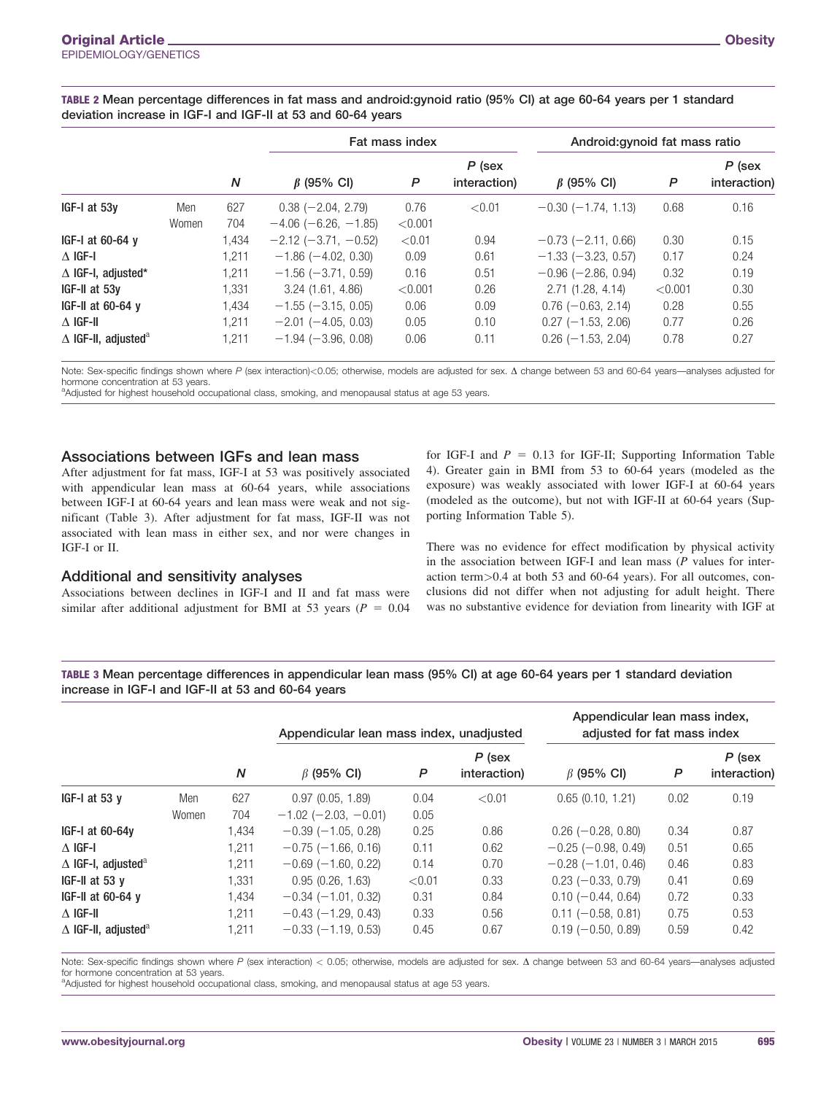|                                        |              | N          | Fat mass index                                 |                 |                        | Android: gynoid fat mass ratio |         |                          |
|----------------------------------------|--------------|------------|------------------------------------------------|-----------------|------------------------|--------------------------------|---------|--------------------------|
|                                        |              |            | $\beta$ (95% CI)                               | P               | P (sex<br>interaction) | $\beta$ (95% CI)               | P       | $P$ (sex<br>interaction) |
| IGF-I at 53y                           | Men<br>Women | 627<br>704 | $0.38$ (-2.04, 2.79)<br>$-4.06$ (-6.26, -1.85) | 0.76<br>< 0.001 | < 0.01                 | $-0.30$ ( $-1.74$ , 1.13)      | 0.68    | 0.16                     |
| IGF-I at 60-64 y                       |              | 1,434      | $-2.12$ ( $-3.71$ , $-0.52$ )                  | < 0.01          | 0.94                   | $-0.73$ ( $-2.11$ , 0.66)      | 0.30    | 0.15                     |
| $\Delta$ igf-i                         |              | 1,211      | $-1.86$ ( $-4.02$ , 0.30)                      | 0.09            | 0.61                   | $-1.33 (-3.23, 0.57)$          | 0.17    | 0.24                     |
| $\Delta$ IGF-I, adjusted*              |              | 1,211      | $-1.56$ ( $-3.71$ , 0.59)                      | 0.16            | 0.51                   | $-0.96$ ( $-2.86$ , 0.94)      | 0.32    | 0.19                     |
| IGF-II at 53y                          |              | 1,331      | 3.24(1.61, 4.86)                               | < 0.001         | 0.26                   | 2.71(1.28, 4.14)               | < 0.001 | 0.30                     |
| IGF-II at 60-64 y                      |              | 1.434      | $-1.55$ ( $-3.15$ , 0.05)                      | 0.06            | 0.09                   | $0.76$ (-0.63, 2.14)           | 0.28    | 0.55                     |
| $\Delta$ igf-ii                        |              | 1.211      | $-2.01$ ( $-4.05$ , 0.03)                      | 0.05            | 0.10                   | $0.27$ (-1.53, 2.06)           | 0.77    | 0.26                     |
| $\Delta$ IGF-II, adjusted <sup>a</sup> |              | 1,211      | $-1.94 (-3.96, 0.08)$                          | 0.06            | 0.11                   | $0.26$ (-1.53, 2.04)           | 0.78    | 0.27                     |

TABLE 2 Mean percentage differences in fat mass and android:gynoid ratio (95% CI) at age 60-64 years per 1 standard deviation increase in IGF-I and IGF-II at 53 and 60-64 years

Note: Sex-specific findings shown where P (sex interaction)<0.05; otherwise, models are adjusted for sex. A change between 53 and 60-64 years—analyses adjusted for hormone concentration at 53 years.

aAdjusted for highest household occupational class, smoking, and menopausal status at age 53 years.

#### Associations between IGFs and lean mass

After adjustment for fat mass, IGF-I at 53 was positively associated with appendicular lean mass at 60-64 years, while associations between IGF-I at 60-64 years and lean mass were weak and not significant (Table 3). After adjustment for fat mass, IGF-II was not associated with lean mass in either sex, and nor were changes in IGF-I or II.

#### Additional and sensitivity analyses

Associations between declines in IGF-I and II and fat mass were similar after additional adjustment for BMI at 53 years ( $P = 0.04$ )

for IGF-I and  $P = 0.13$  for IGF-II; Supporting Information Table 4). Greater gain in BMI from 53 to 60-64 years (modeled as the exposure) was weakly associated with lower IGF-I at 60-64 years (modeled as the outcome), but not with IGF-II at 60-64 years (Supporting Information Table 5).

There was no evidence for effect modification by physical activity in the association between IGF-I and lean mass  $(P$  values for interaction term>0.4 at both 53 and 60-64 years). For all outcomes, conclusions did not differ when not adjusting for adult height. There was no substantive evidence for deviation from linearity with IGF at

TABLE 3 Mean percentage differences in appendicular lean mass (95% CI) at age 60-64 years per 1 standard deviation increase in IGF-I and IGF-II at 53 and 60-64 years

|                                        |       | N     | Appendicular lean mass index, unadjusted |        | Appendicular lean mass index,<br>adjusted for fat mass index |                             |      |                        |
|----------------------------------------|-------|-------|------------------------------------------|--------|--------------------------------------------------------------|-----------------------------|------|------------------------|
|                                        |       |       | $\beta$ (95% CI)                         | P      | $P$ (sex<br>interaction)                                     | $\beta$ (95% CI)            | P    | P (sex<br>interaction) |
| IGF-I at 53 $v$                        | Men   | 627   | 0.97(0.05, 1.89)                         | 0.04   | < 0.01                                                       | 0.65(0.10, 1.21)            | 0.02 | 0.19                   |
|                                        | Women | 704   | $-1.02$ ( $-2.03$ , $-0.01$ )            | 0.05   |                                                              |                             |      |                        |
| IGF-I at $60-64v$                      |       | 1,434 | $-0.39$ ( $-1.05$ , 0.28)                | 0.25   | 0.86                                                         | $0.26$ ( $-0.28$ , $0.80$ ) | 0.34 | 0.87                   |
| $\triangle$ IGF-I                      |       | 1.211 | $-0.75(-1.66, 0.16)$                     | 0.11   | 0.62                                                         | $-0.25$ ( $-0.98$ , 0.49)   | 0.51 | 0.65                   |
| $\Delta$ IGF-I, adjusted <sup>a</sup>  |       | 1,211 | $-0.69$ ( $-1.60$ , 0.22)                | 0.14   | 0.70                                                         | $-0.28$ ( $-1.01$ , 0.46)   | 0.46 | 0.83                   |
| IGF-II at 53 $v$                       |       | 1,331 | 0.95(0.26, 1.63)                         | < 0.01 | 0.33                                                         | $0.23$ ( $-0.33$ , $0.79$ ) | 0.41 | 0.69                   |
| IGF-II at 60-64 $v$                    |       | 1.434 | $-0.34$ ( $-1.01$ , 0.32)                | 0.31   | 0.84                                                         | $0.10 (-0.44, 0.64)$        | 0.72 | 0.33                   |
| $\triangle$ IGF-II                     |       | 1,211 | $-0.43$ ( $-1.29$ , 0.43)                | 0.33   | 0.56                                                         | $0.11$ (-0.58, 0.81)        | 0.75 | 0.53                   |
| $\Delta$ IGF-II, adjusted <sup>a</sup> |       | 1,211 | $-0.33$ ( $-1.19$ , 0.53)                | 0.45   | 0.67                                                         | $0.19(-0.50, 0.89)$         | 0.59 | 0.42                   |

Note: Sex-specific findings shown where P (sex interaction) < 0.05; otherwise, models are adjusted for sex.  $\Delta$  change between 53 and 60-64 years—analyses adjusted for hormone concentration at 53 years.

<sup>a</sup>Adjusted for highest household occupational class, smoking, and menopausal status at age 53 years.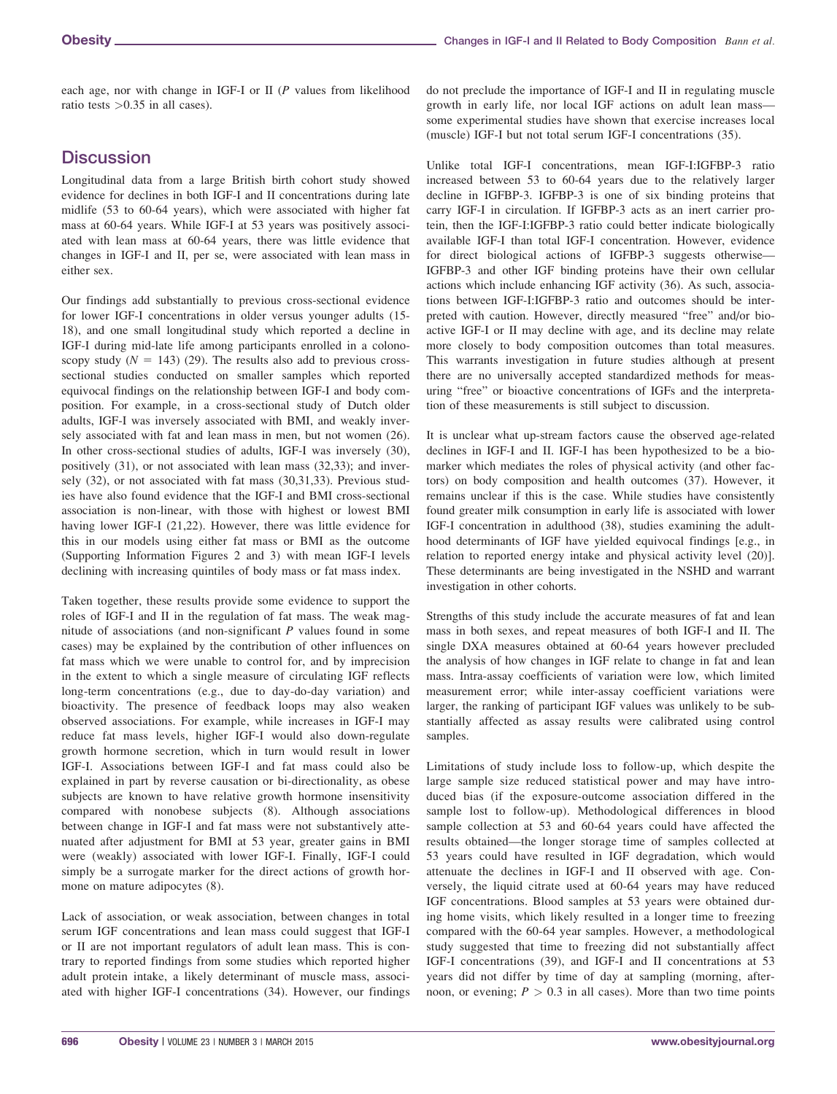each age, nor with change in IGF-I or II ( $P$  values from likelihood ratio tests >0.35 in all cases).

# **Discussion**

Longitudinal data from a large British birth cohort study showed evidence for declines in both IGF-I and II concentrations during late midlife (53 to 60-64 years), which were associated with higher fat mass at 60-64 years. While IGF-I at 53 years was positively associated with lean mass at 60-64 years, there was little evidence that changes in IGF-I and II, per se, were associated with lean mass in either sex.

Our findings add substantially to previous cross-sectional evidence for lower IGF-I concentrations in older versus younger adults (15- 18), and one small longitudinal study which reported a decline in IGF-I during mid-late life among participants enrolled in a colonoscopy study ( $N = 143$ ) (29). The results also add to previous crosssectional studies conducted on smaller samples which reported equivocal findings on the relationship between IGF-I and body composition. For example, in a cross-sectional study of Dutch older adults, IGF-I was inversely associated with BMI, and weakly inversely associated with fat and lean mass in men, but not women (26). In other cross-sectional studies of adults, IGF-I was inversely (30), positively (31), or not associated with lean mass (32,33); and inversely (32), or not associated with fat mass (30,31,33). Previous studies have also found evidence that the IGF-I and BMI cross-sectional association is non-linear, with those with highest or lowest BMI having lower IGF-I (21,22). However, there was little evidence for this in our models using either fat mass or BMI as the outcome (Supporting Information Figures 2 and 3) with mean IGF-I levels declining with increasing quintiles of body mass or fat mass index.

Taken together, these results provide some evidence to support the roles of IGF-I and II in the regulation of fat mass. The weak magnitude of associations (and non-significant  $P$  values found in some cases) may be explained by the contribution of other influences on fat mass which we were unable to control for, and by imprecision in the extent to which a single measure of circulating IGF reflects long-term concentrations (e.g., due to day-do-day variation) and bioactivity. The presence of feedback loops may also weaken observed associations. For example, while increases in IGF-I may reduce fat mass levels, higher IGF-I would also down-regulate growth hormone secretion, which in turn would result in lower IGF-I. Associations between IGF-I and fat mass could also be explained in part by reverse causation or bi-directionality, as obese subjects are known to have relative growth hormone insensitivity compared with nonobese subjects (8). Although associations between change in IGF-I and fat mass were not substantively attenuated after adjustment for BMI at 53 year, greater gains in BMI were (weakly) associated with lower IGF-I. Finally, IGF-I could simply be a surrogate marker for the direct actions of growth hormone on mature adipocytes (8).

Lack of association, or weak association, between changes in total serum IGF concentrations and lean mass could suggest that IGF-I or II are not important regulators of adult lean mass. This is contrary to reported findings from some studies which reported higher adult protein intake, a likely determinant of muscle mass, associated with higher IGF-I concentrations (34). However, our findings do not preclude the importance of IGF-I and II in regulating muscle growth in early life, nor local IGF actions on adult lean mass some experimental studies have shown that exercise increases local (muscle) IGF-I but not total serum IGF-I concentrations (35).

Unlike total IGF-I concentrations, mean IGF-I:IGFBP-3 ratio increased between 53 to 60-64 years due to the relatively larger decline in IGFBP-3. IGFBP-3 is one of six binding proteins that carry IGF-I in circulation. If IGFBP-3 acts as an inert carrier protein, then the IGF-I:IGFBP-3 ratio could better indicate biologically available IGF-I than total IGF-I concentration. However, evidence for direct biological actions of IGFBP-3 suggests otherwise— IGFBP-3 and other IGF binding proteins have their own cellular actions which include enhancing IGF activity (36). As such, associations between IGF-I:IGFBP-3 ratio and outcomes should be interpreted with caution. However, directly measured "free" and/or bioactive IGF-I or II may decline with age, and its decline may relate more closely to body composition outcomes than total measures. This warrants investigation in future studies although at present there are no universally accepted standardized methods for measuring "free" or bioactive concentrations of IGFs and the interpretation of these measurements is still subject to discussion.

It is unclear what up-stream factors cause the observed age-related declines in IGF-I and II. IGF-I has been hypothesized to be a biomarker which mediates the roles of physical activity (and other factors) on body composition and health outcomes (37). However, it remains unclear if this is the case. While studies have consistently found greater milk consumption in early life is associated with lower IGF-I concentration in adulthood (38), studies examining the adulthood determinants of IGF have yielded equivocal findings [e.g., in relation to reported energy intake and physical activity level (20)]. These determinants are being investigated in the NSHD and warrant investigation in other cohorts.

Strengths of this study include the accurate measures of fat and lean mass in both sexes, and repeat measures of both IGF-I and II. The single DXA measures obtained at 60-64 years however precluded the analysis of how changes in IGF relate to change in fat and lean mass. Intra-assay coefficients of variation were low, which limited measurement error; while inter-assay coefficient variations were larger, the ranking of participant IGF values was unlikely to be substantially affected as assay results were calibrated using control samples.

Limitations of study include loss to follow-up, which despite the large sample size reduced statistical power and may have introduced bias (if the exposure-outcome association differed in the sample lost to follow-up). Methodological differences in blood sample collection at 53 and 60-64 years could have affected the results obtained—the longer storage time of samples collected at 53 years could have resulted in IGF degradation, which would attenuate the declines in IGF-I and II observed with age. Conversely, the liquid citrate used at 60-64 years may have reduced IGF concentrations. Blood samples at 53 years were obtained during home visits, which likely resulted in a longer time to freezing compared with the 60-64 year samples. However, a methodological study suggested that time to freezing did not substantially affect IGF-I concentrations (39), and IGF-I and II concentrations at 53 years did not differ by time of day at sampling (morning, afternoon, or evening;  $P > 0.3$  in all cases). More than two time points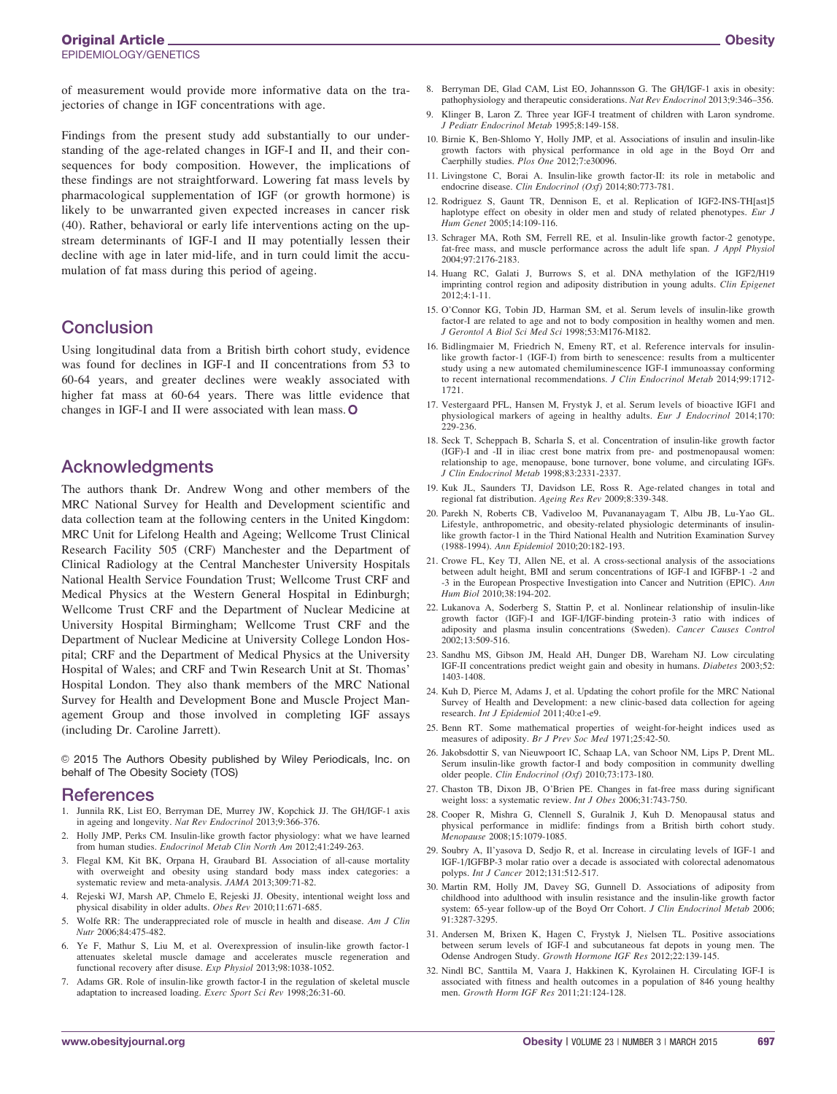of measurement would provide more informative data on the trajectories of change in IGF concentrations with age.

Findings from the present study add substantially to our understanding of the age-related changes in IGF-I and II, and their consequences for body composition. However, the implications of these findings are not straightforward. Lowering fat mass levels by pharmacological supplementation of IGF (or growth hormone) is likely to be unwarranted given expected increases in cancer risk (40). Rather, behavioral or early life interventions acting on the upstream determinants of IGF-I and II may potentially lessen their decline with age in later mid-life, and in turn could limit the accumulation of fat mass during this period of ageing.

### Conclusion

Using longitudinal data from a British birth cohort study, evidence was found for declines in IGF-I and II concentrations from 53 to 60-64 years, and greater declines were weakly associated with higher fat mass at 60-64 years. There was little evidence that changes in IGF-I and II were associated with lean mass. O

### Acknowledgments

The authors thank Dr. Andrew Wong and other members of the MRC National Survey for Health and Development scientific and data collection team at the following centers in the United Kingdom: MRC Unit for Lifelong Health and Ageing; Wellcome Trust Clinical Research Facility 505 (CRF) Manchester and the Department of Clinical Radiology at the Central Manchester University Hospitals National Health Service Foundation Trust; Wellcome Trust CRF and Medical Physics at the Western General Hospital in Edinburgh; Wellcome Trust CRF and the Department of Nuclear Medicine at University Hospital Birmingham; Wellcome Trust CRF and the Department of Nuclear Medicine at University College London Hospital; CRF and the Department of Medical Physics at the University Hospital of Wales; and CRF and Twin Research Unit at St. Thomas' Hospital London. They also thank members of the MRC National Survey for Health and Development Bone and Muscle Project Management Group and those involved in completing IGF assays (including Dr. Caroline Jarrett).

© 2015 The Authors Obesity published by Wiley Periodicals, Inc. on behalf of The Obesity Society (TOS)

#### References

- 1. Junnila RK, List EO, Berryman DE, Murrey JW, Kopchick JJ. The GH/IGF-1 axis in ageing and longevity. Nat Rev Endocrinol 2013;9:366-376.
- 2. Holly JMP, Perks CM. Insulin-like growth factor physiology: what we have learned from human studies. Endocrinol Metab Clin North Am 2012;41:249-263.
- 3. Flegal KM, Kit BK, Orpana H, Graubard BI. Association of all-cause mortality with overweight and obesity using standard body mass index categories: a systematic review and meta-analysis. JAMA 2013;309:71-82.
- 4. Rejeski WJ, Marsh AP, Chmelo E, Rejeski JJ. Obesity, intentional weight loss and physical disability in older adults. Obes Rev 2010;11:671-685.
- 5. Wolfe RR: The underappreciated role of muscle in health and disease. Am J Clin Nutr 2006;84:475-482.
- 6. Ye F, Mathur S, Liu M, et al. Overexpression of insulin-like growth factor-1 attenuates skeletal muscle damage and accelerates muscle regeneration and functional recovery after disuse. Exp Physiol 2013;98:1038-1052.
- 7. Adams GR. Role of insulin-like growth factor-I in the regulation of skeletal muscle adaptation to increased loading. Exerc Sport Sci Rev 1998;26:31-60.
- 8. Berryman DE, Glad CAM, List EO, Johannsson G. The GH/IGF-1 axis in obesity: pathophysiology and therapeutic considerations. Nat Rev Endocrinol 2013;9:346–356.
- 9. Klinger B, Laron Z. Three year IGF-I treatment of children with Laron syndrome. J Pediatr Endocrinol Metab 1995;8:149-158.
- 10. Birnie K, Ben-Shlomo Y, Holly JMP, et al. Associations of insulin and insulin-like growth factors with physical performance in old age in the Boyd Orr and Caerphilly studies. Plos One 2012;7:e30096.
- 11. Livingstone C, Borai A. Insulin-like growth factor-II: its role in metabolic and endocrine disease. Clin Endocrinol (Oxf) 2014;80:773-781.
- 12. Rodriguez S, Gaunt TR, Dennison E, et al. Replication of IGF2-INS-TH[ast]5 haplotype effect on obesity in older men and study of related phenotypes. Eur J Hum Genet 2005;14:109-116.
- 13. Schrager MA, Roth SM, Ferrell RE, et al. Insulin-like growth factor-2 genotype, fat-free mass, and muscle performance across the adult life span. J Appl Physiol 2004;97:2176-2183.
- 14. Huang RC, Galati J, Burrows S, et al. DNA methylation of the IGF2/H19 imprinting control region and adiposity distribution in young adults. Clin Epigenet 2012;4:1-11.
- 15. O'Connor KG, Tobin JD, Harman SM, et al. Serum levels of insulin-like growth factor-I are related to age and not to body composition in healthy women and men. J Gerontol A Biol Sci Med Sci 1998;53:M176-M182.
- 16. Bidlingmaier M, Friedrich N, Emeny RT, et al. Reference intervals for insulinlike growth factor-1 (IGF-I) from birth to senescence: results from a multicenter study using a new automated chemiluminescence IGF-I immunoassay conforming to recent international recommendations. J Clin Endocrinol Metab 2014;99:1712-1721.
- 17. Vestergaard PFL, Hansen M, Frystyk J, et al. Serum levels of bioactive IGF1 and physiological markers of ageing in healthy adults. Eur J Endocrinol 2014;170: 229-236.
- 18. Seck T, Scheppach B, Scharla S, et al. Concentration of insulin-like growth factor (IGF)-I and -II in iliac crest bone matrix from pre- and postmenopausal women: relationship to age, menopause, bone turnover, bone volume, and circulating IGFs. J Clin Endocrinol Metab 1998;83:2331-2337.
- 19. Kuk JL, Saunders TJ, Davidson LE, Ross R. Age-related changes in total and regional fat distribution. Ageing Res Rev 2009;8:339-348.
- 20. Parekh N, Roberts CB, Vadiveloo M, Puvananayagam T, Albu JB, Lu-Yao GL. Lifestyle, anthropometric, and obesity-related physiologic determinants of insulinlike growth factor-1 in the Third National Health and Nutrition Examination Survey (1988-1994). Ann Epidemiol 2010;20:182-193.
- 21. Crowe FL, Key TJ, Allen NE, et al. A cross-sectional analysis of the associations between adult height, BMI and serum concentrations of IGF-I and IGFBP-1 -2 and -3 in the European Prospective Investigation into Cancer and Nutrition (EPIC). Ann Hum Biol 2010;38:194-202.
- 22. Lukanova A, Soderberg S, Stattin P, et al. Nonlinear relationship of insulin-like growth factor (IGF)-I and IGF-I/IGF-binding protein-3 ratio with indices of adiposity and plasma insulin concentrations (Sweden). Cancer Causes Control 2002;13:509-516.
- 23. Sandhu MS, Gibson JM, Heald AH, Dunger DB, Wareham NJ. Low circulating IGF-II concentrations predict weight gain and obesity in humans. Diabetes 2003;52: 1403-1408.
- 24. Kuh D, Pierce M, Adams J, et al. Updating the cohort profile for the MRC National Survey of Health and Development: a new clinic-based data collection for ageing research. Int J Epidemiol 2011;40:e1-e9.
- 25. Benn RT. Some mathematical properties of weight-for-height indices used as measures of adiposity. Br J Prev Soc Med 1971;25:42-50.
- 26. Jakobsdottir S, van Nieuwpoort IC, Schaap LA, van Schoor NM, Lips P, Drent ML. Serum insulin-like growth factor-I and body composition in community dwelling older people. Clin Endocrinol (Oxf) 2010;73:173-180.
- 27. Chaston TB, Dixon JB, O'Brien PE. Changes in fat-free mass during significant weight loss: a systematic review. Int J Obes 2006;31:743-750.
- 28. Cooper R, Mishra G, Clennell S, Guralnik J, Kuh D. Menopausal status and physical performance in midlife: findings from a British birth cohort study. Menopause 2008;15:1079-1085.
- 29. Soubry A, Il'yasova D, Sedjo R, et al. Increase in circulating levels of IGF-1 and IGF-1/IGFBP-3 molar ratio over a decade is associated with colorectal adenomatous polyps. Int J Cancer 2012;131:512-517.
- 30. Martin RM, Holly JM, Davey SG, Gunnell D. Associations of adiposity from childhood into adulthood with insulin resistance and the insulin-like growth factor system: 65-year follow-up of the Boyd Orr Cohort. J Clin Endocrinol Metab 2006; 91:3287-3295.
- 31. Andersen M, Brixen K, Hagen C, Frystyk J, Nielsen TL. Positive associations between serum levels of IGF-I and subcutaneous fat depots in young men. The Odense Androgen Study. Growth Hormone IGF Res 2012;22:139-145.
- 32. Nindl BC, Santtila M, Vaara J, Hakkinen K, Kyrolainen H. Circulating IGF-I is associated with fitness and health outcomes in a population of 846 young healthy men. Growth Horm IGF Res 2011;21:124-128.